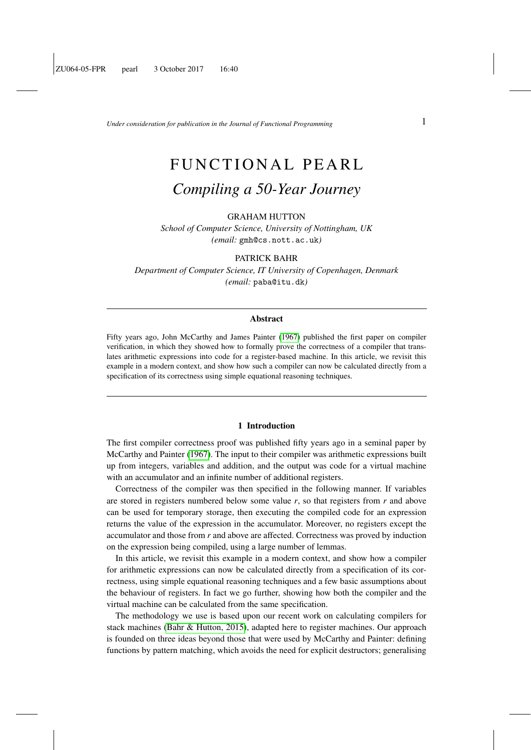*Under consideration for publication in the Journal of Functional Programming*  $1$ 

# FUNCTIONAL PEARL *Compiling a 50-Year Journey*

#### GRAHAM HUTTON

*School of Computer Science, University of Nottingham, UK (email:* gmh@cs.nott.ac.uk*)*

### PATRICK BAHR

*Department of Computer Science, IT University of Copenhagen, Denmark (email:* paba@itu.dk*)*

#### Abstract

Fifty years ago, John McCarthy and James Painter [\(1967\)](#page-9-0) published the first paper on compiler verification, in which they showed how to formally prove the correctness of a compiler that translates arithmetic expressions into code for a register-based machine. In this article, we revisit this example in a modern context, and show how such a compiler can now be calculated directly from a specification of its correctness using simple equational reasoning techniques.

## 1 Introduction

The first compiler correctness proof was published fifty years ago in a seminal paper by McCarthy and Painter [\(1967\)](#page-9-0). The input to their compiler was arithmetic expressions built up from integers, variables and addition, and the output was code for a virtual machine with an accumulator and an infinite number of additional registers.

Correctness of the compiler was then specified in the following manner. If variables are stored in registers numbered below some value *r*, so that registers from *r* and above can be used for temporary storage, then executing the compiled code for an expression returns the value of the expression in the accumulator. Moreover, no registers except the accumulator and those from *r* and above are affected. Correctness was proved by induction on the expression being compiled, using a large number of lemmas.

In this article, we revisit this example in a modern context, and show how a compiler for arithmetic expressions can now be calculated directly from a specification of its correctness, using simple equational reasoning techniques and a few basic assumptions about the behaviour of registers. In fact we go further, showing how both the compiler and the virtual machine can be calculated from the same specification.

The methodology we use is based upon our recent work on calculating compilers for stack machines [\(Bahr & Hutton, 2015\)](#page-9-1), adapted here to register machines. Our approach is founded on three ideas beyond those that were used by McCarthy and Painter: defining functions by pattern matching, which avoids the need for explicit destructors; generalising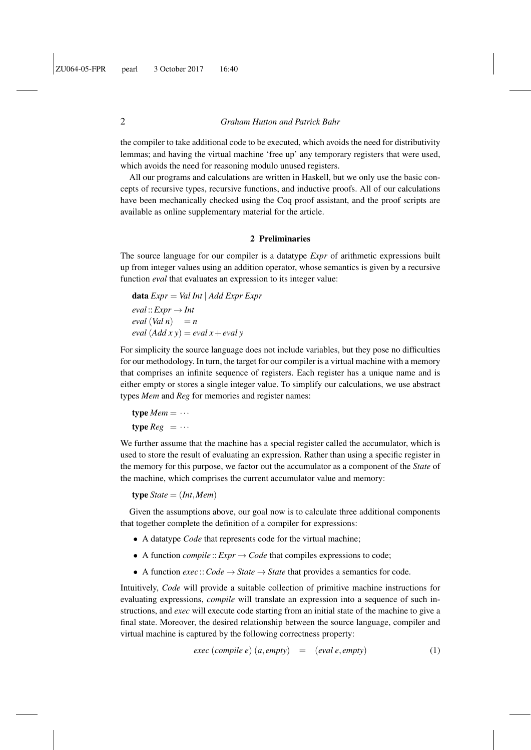the compiler to take additional code to be executed, which avoids the need for distributivity lemmas; and having the virtual machine 'free up' any temporary registers that were used, which avoids the need for reasoning modulo unused registers.

All our programs and calculations are written in Haskell, but we only use the basic concepts of recursive types, recursive functions, and inductive proofs. All of our calculations have been mechanically checked using the Coq proof assistant, and the proof scripts are available as online supplementary material for the article.

#### 2 Preliminaries

The source language for our compiler is a datatype *Expr* of arithmetic expressions built up from integer values using an addition operator, whose semantics is given by a recursive function *eval* that evaluates an expression to its integer value:

data  $\text{Expr} = \text{Val Int} | \text{Add Expr} \text{Expr}$  $eval::Expr \rightarrow Int$  $eval (Val n) = n$  $eval (Add x y) = eval x + eval y$ 

For simplicity the source language does not include variables, but they pose no difficulties for our methodology. In turn, the target for our compiler is a virtual machine with a memory that comprises an infinite sequence of registers. Each register has a unique name and is either empty or stores a single integer value. To simplify our calculations, we use abstract types *Mem* and *Reg* for memories and register names:

type  $Mem = \cdots$ type  $Req = \cdots$ 

We further assume that the machine has a special register called the accumulator, which is used to store the result of evaluating an expression. Rather than using a specific register in the memory for this purpose, we factor out the accumulator as a component of the *State* of the machine, which comprises the current accumulator value and memory:

 $$ 

Given the assumptions above, our goal now is to calculate three additional components that together complete the definition of a compiler for expressions:

- A datatype *Code* that represents code for the virtual machine;
- A function *compile* :: *Expr*  $\rightarrow$  *Code* that compiles expressions to code;
- A function *exec* :: *Code*  $\rightarrow$  *State*  $\rightarrow$  *State* that provides a semantics for code.

Intuitively, *Code* will provide a suitable collection of primitive machine instructions for evaluating expressions, *compile* will translate an expression into a sequence of such instructions, and *exec* will execute code starting from an initial state of the machine to give a final state. Moreover, the desired relationship between the source language, compiler and virtual machine is captured by the following correctness property:

<span id="page-1-0"></span>
$$
exec (compile e) (a, empty) = (eval e, empty) \tag{1}
$$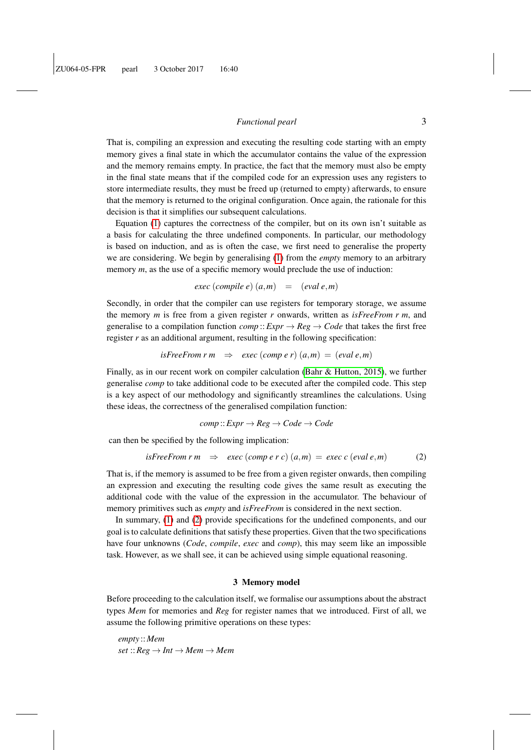That is, compiling an expression and executing the resulting code starting with an empty memory gives a final state in which the accumulator contains the value of the expression and the memory remains empty. In practice, the fact that the memory must also be empty in the final state means that if the compiled code for an expression uses any registers to store intermediate results, they must be freed up (returned to empty) afterwards, to ensure that the memory is returned to the original configuration. Once again, the rationale for this decision is that it simplifies our subsequent calculations.

Equation [\(1\)](#page-1-0) captures the correctness of the compiler, but on its own isn't suitable as a basis for calculating the three undefined components. In particular, our methodology is based on induction, and as is often the case, we first need to generalise the property we are considering. We begin by generalising [\(1\)](#page-1-0) from the *empty* memory to an arbitrary memory *m*, as the use of a specific memory would preclude the use of induction:

$$
exec\ (compile\ e)\ (a,m) = (eval\ e,m)
$$

Secondly, in order that the compiler can use registers for temporary storage, we assume the memory *m* is free from a given register *r* onwards, written as *isFreeFrom r m*, and generalise to a compilation function *comp* :: *Expr*  $\rightarrow$  *Reg*  $\rightarrow$  *Code* that takes the first free register  $r$  as an additional argument, resulting in the following specification:

isFreeFrom 
$$
r \, m \Rightarrow
$$
 exec (comp  $e \, r$ )  $(a, m) = (eval \, e, m)$ 

Finally, as in our recent work on compiler calculation [\(Bahr & Hutton, 2015\)](#page-9-1), we further generalise *comp* to take additional code to be executed after the compiled code. This step is a key aspect of our methodology and significantly streamlines the calculations. Using these ideas, the correctness of the generalised compilation function:

$$
comp::Expr \rightarrow Reg \rightarrow Code \rightarrow Code
$$

can then be specified by the following implication:

<span id="page-2-0"></span>isFreeFrom 
$$
r \, m \Rightarrow
$$
 exec (comp  $e \, r \, c$ )  $(a, m) =$  exec  $c$  (eval  $e, m$ ) (2)

That is, if the memory is assumed to be free from a given register onwards, then compiling an expression and executing the resulting code gives the same result as executing the additional code with the value of the expression in the accumulator. The behaviour of memory primitives such as *empty* and *isFreeFrom* is considered in the next section.

In summary, [\(1\)](#page-1-0) and [\(2\)](#page-2-0) provide specifications for the undefined components, and our goal is to calculate definitions that satisfy these properties. Given that the two specifications have four unknowns (*Code*, *compile*, *exec* and *comp*), this may seem like an impossible task. However, as we shall see, it can be achieved using simple equational reasoning.

#### 3 Memory model

Before proceeding to the calculation itself, we formalise our assumptions about the abstract types *Mem* for memories and *Reg* for register names that we introduced. First of all, we assume the following primitive operations on these types:

*empty* :: *Mem*  $set :: Reg \rightarrow Int \rightarrow Mem \rightarrow Mem$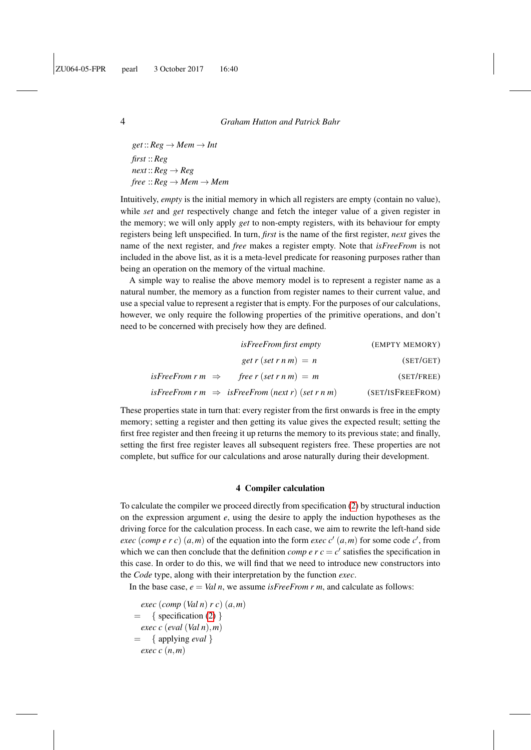$get$   $:$ *Reg*  $\rightarrow$  *Mem*  $\rightarrow$  *Int first* ::*Reg next* ::*Reg* → *Reg*  $free :: Reg \rightarrow Mem \rightarrow Mem$ 

Intuitively, *empty* is the initial memory in which all registers are empty (contain no value), while *set* and *get* respectively change and fetch the integer value of a given register in the memory; we will only apply *get* to non-empty registers, with its behaviour for empty registers being left unspecified. In turn, *first* is the name of the first register, *next* gives the name of the next register, and *free* makes a register empty. Note that *isFreeFrom* is not included in the above list, as it is a meta-level predicate for reasoning purposes rather than being an operation on the memory of the virtual machine.

A simple way to realise the above memory model is to represent a register name as a natural number, the memory as a function from register names to their current value, and use a special value to represent a register that is empty. For the purposes of our calculations, however, we only require the following properties of the primitive operations, and don't need to be concerned with precisely how they are defined.

|                              | <i>isFreeFrom first empty</i>                                | (EMPTY MEMORY)   |
|------------------------------|--------------------------------------------------------------|------------------|
|                              | get r (set r n m) = n                                        | (SET/GET)        |
| isFreeFrom $r m \Rightarrow$ | free r (set r n m) = m                                       | (SET/FREE)       |
|                              | isFreeFrom $r m \Rightarrow$ isFreeFrom (next r) (set r n m) | (SET/ISFREEFROM) |

These properties state in turn that: every register from the first onwards is free in the empty memory; setting a register and then getting its value gives the expected result; setting the first free register and then freeing it up returns the memory to its previous state; and finally, setting the first free register leaves all subsequent registers free. These properties are not complete, but suffice for our calculations and arose naturally during their development.

#### <span id="page-3-3"></span><span id="page-3-2"></span><span id="page-3-1"></span><span id="page-3-0"></span>4 Compiler calculation

To calculate the compiler we proceed directly from specification [\(2\)](#page-2-0) by structural induction on the expression argument  $e$ , using the desire to apply the induction hypotheses as the driving force for the calculation process. In each case, we aim to rewrite the left-hand side *exec* (*comp e r c*)  $(a,m)$  of the equation into the form *exec*  $c'(a,m)$  for some code  $c'$ , from which we can then conclude that the definition *comp e r c* =  $c'$  satisfies the specification in this case. In order to do this, we will find that we need to introduce new constructors into the *Code* type, along with their interpretation by the function *exec*.

In the base case,  $e = Val n$ , we assume *isFreeFrom r m*, and calculate as follows:

*exec* (*comp* (*Val n*) *r c*) (*a*,*m*)  $= \{$  specification [\(2\)](#page-2-0)  $\}$ *exec c* (*eval* (*Val n*),*m*) = { applying *eval* } *exec c* (*n*,*m*)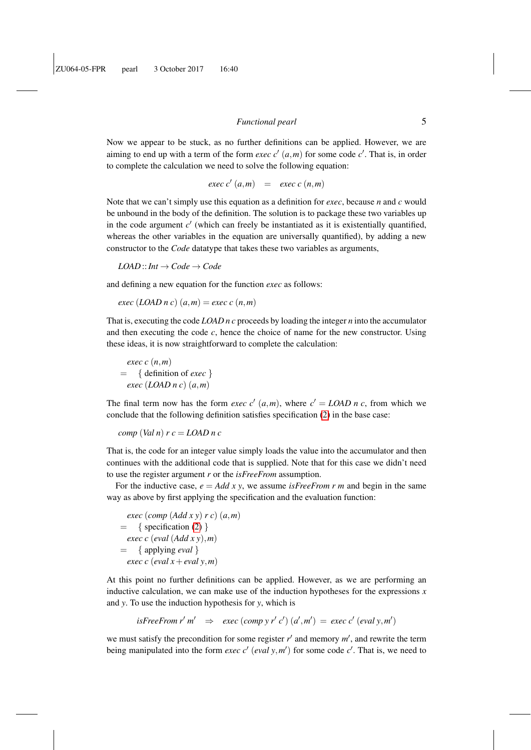Now we appear to be stuck, as no further definitions can be applied. However, we are aiming to end up with a term of the form *exec c'*  $(a,m)$  for some code c'. That is, in order to complete the calculation we need to solve the following equation:

$$
exec\ c'\ (a,m) = exec\ c\ (n,m)
$$

Note that we can't simply use this equation as a definition for *exec*, because *n* and *c* would be unbound in the body of the definition. The solution is to package these two variables up in the code argument  $c'$  (which can freely be instantiated as it is existentially quantified, whereas the other variables in the equation are universally quantified), by adding a new constructor to the *Code* datatype that takes these two variables as arguments,

*LOAD*::*Int* → *Code* → *Code*

and defining a new equation for the function *exec* as follows:

 $e \times e \in (LOAD \ n \ c) \ (a,m) = e \times e \in (n,m)$ 

That is, executing the code *LOAD n c* proceeds by loading the integer *n* into the accumulator and then executing the code  $c$ , hence the choice of name for the new constructor. Using these ideas, it is now straightforward to complete the calculation:

*exec c* (*n*,*m*) = { definition of *exec* } *exec* (*LOAD n c*) (*a*,*m*)

The final term now has the form *exec c'*  $(a,m)$ , where  $c' =$  *LOAD n c*, from which we conclude that the following definition satisfies specification [\(2\)](#page-2-0) in the base case:

 $comp (Val n)$   $r c =$  *LOAD n c* 

That is, the code for an integer value simply loads the value into the accumulator and then continues with the additional code that is supplied. Note that for this case we didn't need to use the register argument *r* or the *isFreeFrom* assumption.

For the inductive case,  $e = Add x y$ , we assume *isFreeFrom r m* and begin in the same way as above by first applying the specification and the evaluation function:

*exec* (*comp* (*Add x y*) *r c*) (*a*,*m*)  $= \{$  specification [\(2\)](#page-2-0)  $\}$ *exec c* (*eval* (*Add x y*),*m*) = { applying *eval* } *exec c* (*eval x* + *eval y,m*)

At this point no further definitions can be applied. However, as we are performing an inductive calculation, we can make use of the induction hypotheses for the expressions *x* and *y*. To use the induction hypothesis for *y*, which is

 $isFreeFrom r' m' \Rightarrow exec (comp y r' c') (a', m') = exec (eval y, m')$ 

we must satisfy the precondition for some register  $r'$  and memory  $m'$ , and rewrite the term being manipulated into the form *exec c'* (*eval y,m'*) for some code  $c'$ . That is, we need to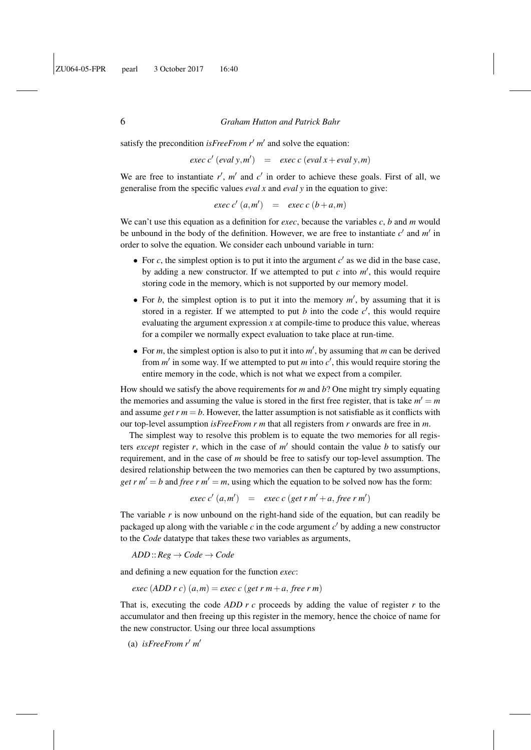satisfy the precondition *isFreeFrom*  $r'$  *m'* and solve the equation:

*exec c*<sup>0</sup> (*eval y*,*m* 0 ) = *exec c* (*eval x*+*eval y*,*m*)

We are free to instantiate  $r'$ ,  $m'$  and  $c'$  in order to achieve these goals. First of all, we generalise from the specific values *eval x* and *eval y* in the equation to give:

$$
exec\ c'\ (a,m')\quad =\quad exec\ c\ (b+a,m)
$$

We can't use this equation as a definition for *exec*, because the variables *c*, *b* and *m* would be unbound in the body of the definition. However, we are free to instantiate  $c'$  and  $m'$  in order to solve the equation. We consider each unbound variable in turn:

- For *c*, the simplest option is to put it into the argument  $c'$  as we did in the base case, by adding a new constructor. If we attempted to put  $c$  into  $m'$ , this would require storing code in the memory, which is not supported by our memory model.
- For *b*, the simplest option is to put it into the memory  $m'$ , by assuming that it is stored in a register. If we attempted to put  $b$  into the code  $c'$ , this would require evaluating the argument expression *x* at compile-time to produce this value, whereas for a compiler we normally expect evaluation to take place at run-time.
- For  $m$ , the simplest option is also to put it into  $m'$ , by assuming that  $m$  can be derived from  $m'$  in some way. If we attempted to put  $m$  into  $c'$ , this would require storing the entire memory in the code, which is not what we expect from a compiler.

How should we satisfy the above requirements for *m* and *b*? One might try simply equating the memories and assuming the value is stored in the first free register, that is take  $m' = m$ and assume *get r m* = *b*. However, the latter assumption is not satisfiable as it conflicts with our top-level assumption *isFreeFrom r m* that all registers from *r* onwards are free in *m*.

The simplest way to resolve this problem is to equate the two memories for all registers *except* register  $r$ , which in the case of  $m'$  should contain the value  $b$  to satisfy our requirement, and in the case of *m* should be free to satisfy our top-level assumption. The desired relationship between the two memories can then be captured by two assumptions, *get r m'* = *b* and *free r m'* = *m*, using which the equation to be solved now has the form:

$$
exec\ c'\ (a,m') = exec\ c\ (get\ r\ m'+a\ free\ r\ m')
$$

The variable *r* is now unbound on the right-hand side of the equation, but can readily be packaged up along with the variable  $c$  in the code argument  $c'$  by adding a new constructor to the *Code* datatype that takes these two variables as arguments,

*ADD*::*Reg* → *Code* → *Code*

and defining a new equation for the function *exec*:

*exec* (*ADD r c*)  $(a,m) =$  *exec c* (*get r m* + *a*, *free r m*)

That is, executing the code *ADD r c* proceeds by adding the value of register *r* to the accumulator and then freeing up this register in the memory, hence the choice of name for the new constructor. Using our three local assumptions

(a) *isFreeFrom r' m'*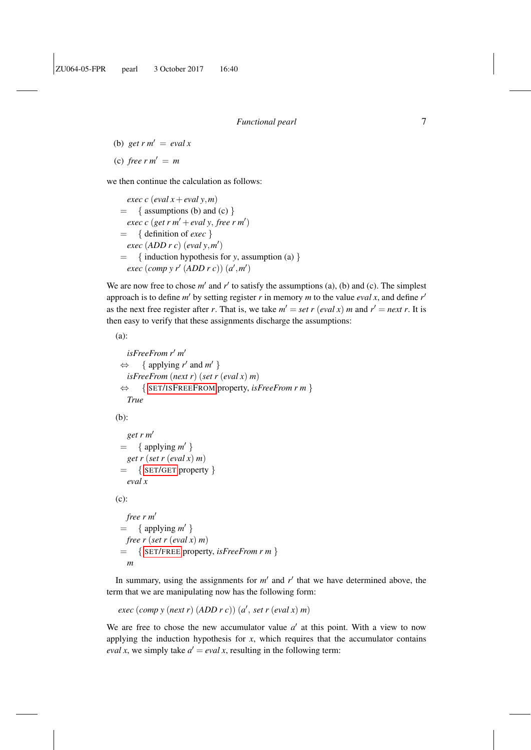- (b)  $get r m' = eval x$
- (c) *free r m'* = *m*

we then continue the calculation as follows:

*exec c* (*eval x* + *eval y,m*)  $= \{$  assumptions (b) and (c)  $\}$  $e$ *xec c* (*get r m'* + *eval y*, *free r m'*) = { definition of *exec* } *exec* (*ADD r c*) (*eval y*,*m* 0 ) = { induction hypothesis for *y*, assumption (a) }  $exec (comp y r' (ADD r c)) (a', m')$ 

We are now free to chose  $m'$  and  $r'$  to satisfy the assumptions (a), (b) and (c). The simplest approach is to define  $m'$  by setting register  $r$  in memory  $m$  to the value *eval x*, and define  $r'$ as the next free register after *r*. That is, we take  $m' = set r (eval x) m$  and  $r' = next r$ . It is then easy to verify that these assignments discharge the assumptions:

## (a):

```
isFreeFrom r' m'
\Leftrightarrow \{ applying r' and m' \}isFreeFrom (next r) (set r (eval x) m)
⇔ { SET/ISFREEFROM property, isFreeFrom r m }
 True
```
(b):

```
get r m0
 = \{ applying m' \}get r (set r (eval x) m)
 = \{GET property \}eval x
(c):
  free r m'
```

```
= \{ applying m' \}free r (set r (eval x) m)
= { SET/FREE property, isFreeFrom r m }
 m
```
In summary, using the assignments for  $m'$  and  $r'$  that we have determined above, the term that we are manipulating now has the following form:

*exec* (*comp y* (*next r*) (*ADD r c*)) (*a* 0 , *set r* (*eval x*) *m*)

We are free to chose the new accumulator value  $a'$  at this point. With a view to now applying the induction hypothesis for  $x$ , which requires that the accumulator contains *eval x*, we simply take  $a' = eval x$ , resulting in the following term: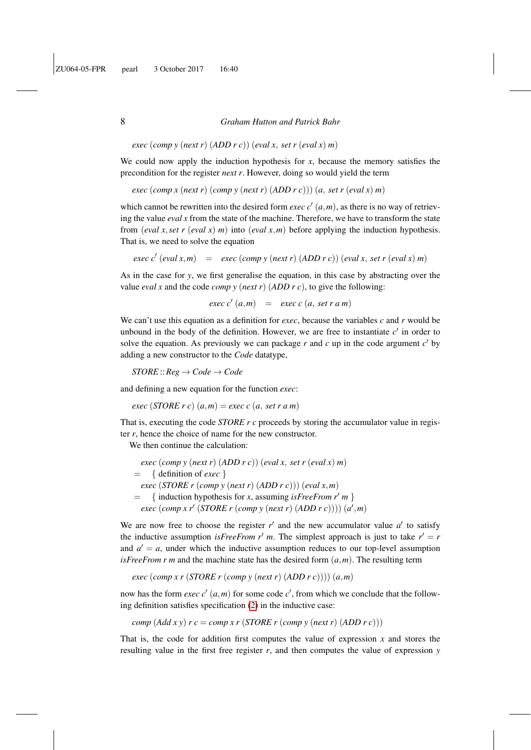```
exec (comp y (next r) (ADD r c)) (eval x, set r (eval x) m)
```
We could now apply the induction hypothesis for  $x$ , because the memory satisfies the precondition for the register *next r*. However, doing so would yield the term

*exec* (*comp x* (*next r*) (*comp y* (*next r*) (*ADD r c*))) (*a*, *set r* (*eval x*) *m*)

which cannot be rewritten into the desired form *exec*  $c'(a,m)$ , as there is no way of retrieving the value *eval x* from the state of the machine. Therefore, we have to transform the state from (*eval x*,*set r* (*eval x*) *m*) into (*eval x*,*m*) before applying the induction hypothesis. That is, we need to solve the equation

 $\int e^{x}$  (*eval x*,*m*) =  $\int e^{x}$  (*comp y* (*next r*) (*ADD r c*)) (*eval x*, *set r* (*eval x*) *m*)

As in the case for *y*, we first generalise the equation, in this case by abstracting over the value *eval x* and the code *comp y* (*next r*) (*ADD r c*), to give the following:

 $\int e^{x} e^{x} dx = e^{x} e^{x}$  (*a*, *set r a m*)

We can't use this equation as a definition for *exec*, because the variables *c* and *r* would be unbound in the body of the definition. However, we are free to instantiate  $c'$  in order to solve the equation. As previously we can package  $r$  and  $c$  up in the code argument  $c'$  by adding a new constructor to the *Code* datatype,

 $STORE::Reg \rightarrow Code \rightarrow Code$ 

and defining a new equation for the function *exec*:

 $e \times e \in (STORE \r{c}) (a,m) = e \times e \in (a, \r{set } r \r{a} m)$ 

That is, executing the code *STORE r c* proceeds by storing the accumulator value in register *r*, hence the choice of name for the new constructor.

We then continue the calculation:

```
exec (comp y (next r) (ADD r c)) (eval x, set r (eval x) m)
= { definition of exec }
 exec (STORE r (comp y (next r) (ADD r c))) (eval x,m)
= { induction hypothesis for x, assuming isFreeFrom r' m }
  exec (comp x r' (STORE r (comp y (next r) (ADD r c)))) (a', m)
```
We are now free to choose the register  $r'$  and the new accumulator value  $a'$  to satisfy the inductive assumption *isFreeFrom r' m*. The simplest approach is just to take  $r' = r$ and  $a' = a$ , under which the inductive assumption reduces to our top-level assumption *isFreeFrom r m* and the machine state has the desired form  $(a, m)$ . The resulting term

```
exec (comp x r (STORE r (comp y (next r) (ADD r c)))) (a,m)
```
now has the form *exec*  $c'(a,m)$  for some code  $c'$ , from which we conclude that the following definition satisfies specification [\(2\)](#page-2-0) in the inductive case:

*comp*  $(Add x y) r c = comp x r (STORE r (comp y (next r) (ADD r c)))$ 

That is, the code for addition first computes the value of expression *x* and stores the resulting value in the first free register *r*, and then computes the value of expression *y*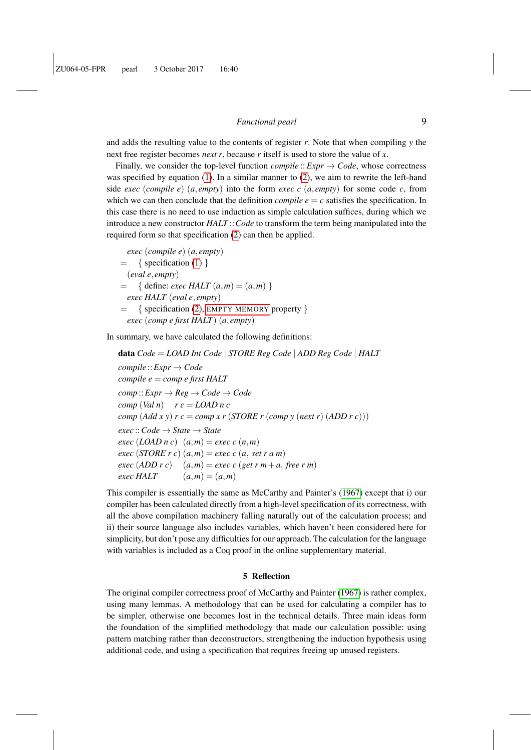and adds the resulting value to the contents of register *r*. Note that when compiling *y* the next free register becomes *next r*, because *r* itself is used to store the value of *x*.

Finally, we consider the top-level function *compile* :: *Expr*  $\rightarrow$  *Code*, whose correctness was specified by equation [\(1\)](#page-1-0). In a similar manner to [\(2\)](#page-2-0), we aim to rewrite the left-hand side *exec* (*compile e*) (*a*, *empty*) into the form *exec c* (*a*, *empty*) for some code *c*, from which we can then conclude that the definition *compile*  $e = c$  satisfies the specification. In this case there is no need to use induction as simple calculation suffices, during which we introduce a new constructor *HALT* ::*Code* to transform the term being manipulated into the required form so that specification [\(2\)](#page-2-0) can then be applied.

*exec* (*compile e*) (*a*, *empty*)  $= \{$  specification [\(1\)](#page-1-0)  $\}$ (*eval e*, *empty*)  $= \{ \text{define: } exec \, HALT \, (a, m) = (a, m) \}$ *exec HALT* (*eval e*, *empty*)  $\{$  specification [\(2\)](#page-2-0), [EMPTY MEMORY](#page-3-3) property  $\}$ *exec* (*comp e first HALT*) (*a*, *empty*)

In summary, we have calculated the following definitions:

data *Code* = *LOAD Int Code* | *STORE Reg Code* | *ADD Reg Code* | *HALT compile* ::*Expr* → *Code compile e* = *comp e first HALT*  $comp::Expr \rightarrow Reg \rightarrow Code \rightarrow Code$  $comp (Val n)$   $r c =$  *LOAD n c comp*  $(Add x y) r c = comp x r (STORE r (comp y (next r) (ADD r c)))$ *exec* ::*Code* → *State* → *State*  $e \times e \in (LOAD \times c)$   $(a,m) = e \times e \in c \times (n,m)$ *exec* (*STORE r c*)  $(a,m) =$  *exec c*  $(a, set r a m)$  $(a,m) = *exec c* (*get r m + a, free r m)*$  $exec HALT$   $(a,m) = (a,m)$ 

This compiler is essentially the same as McCarthy and Painter's [\(1967\)](#page-9-0) except that i) our compiler has been calculated directly from a high-level specification of its correctness, with all the above compilation machinery falling naturally out of the calculation process; and ii) their source language also includes variables, which haven't been considered here for simplicity, but don't pose any difficulties for our approach. The calculation for the language with variables is included as a Coq proof in the online supplementary material.

#### 5 Reflection

The original compiler correctness proof of McCarthy and Painter [\(1967\)](#page-9-0) is rather complex, using many lemmas. A methodology that can be used for calculating a compiler has to be simpler, otherwise one becomes lost in the technical details. Three main ideas form the foundation of the simplified methodology that made our calculation possible: using pattern matching rather than deconstructors, strengthening the induction hypothesis using additional code, and using a specification that requires freeing up unused registers.